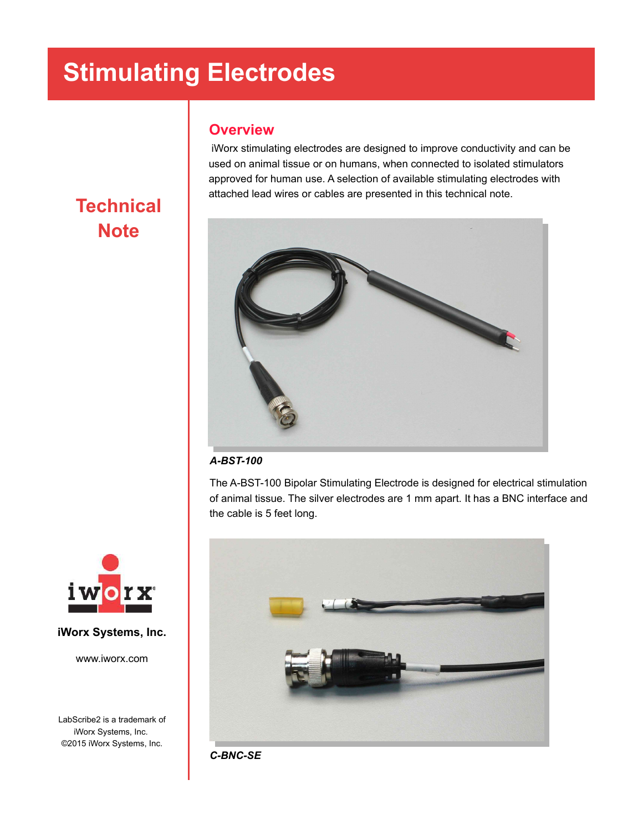### **Overview**

 iWorx stimulating electrodes are designed to improve conductivity and can be used on animal tissue or on humans, when connected to isolated stimulators approved for human use. A selection of available stimulating electrodes with attached lead wires or cables are presented in this technical note.



#### *A-BST-100*

The A-BST-100 Bipolar Stimulating Electrode is designed for electrical stimulation of animal tissue. The silver electrodes are 1 mm apart. It has a BNC interface and the cable is 5 feet long.



*C-BNC-SE*

### **Technical Note**



### **iWorx Systems, Inc.**

www.iworx.com

LabScribe2 is a trademark of iWorx Systems, Inc. ©2015 iWorx Systems, Inc.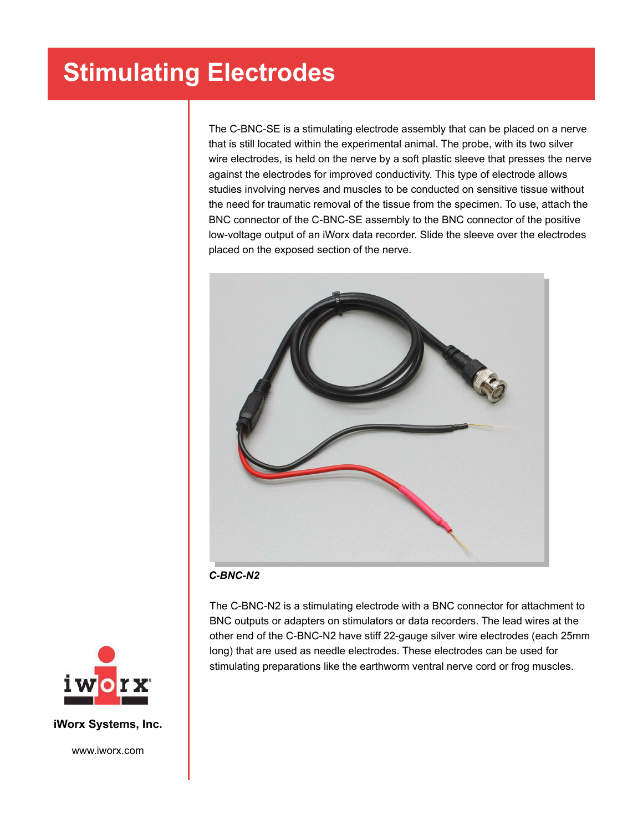The C-BNC-SE is a stimulating electrode assembly that can be placed on a nerve that is still located within the experimental animal. The probe, with its two silver wire electrodes, is held on the nerve by a soft plastic sleeve that presses the nerve against the electrodes for improved conductivity. This type of electrode allows studies involving nerves and muscles to be conducted on sensitive tissue without the need for traumatic removal of the tissue from the specimen. To use, attach the BNC connector of the C-BNC-SE assembly to the BNC connector of the positive low-voltage output of an iWorx data recorder. Slide the sleeve over the electrodes placed on the exposed section of the nerve.



*C-BNC-N2*

The C-BNC-N2 is a stimulating electrode with a BNC connector for attachment to BNC outputs or adapters on stimulators or data recorders. The lead wires at the other end of the C-BNC-N2 have stiff 22-gauge silver wire electrodes (each 25mm long) that are used as needle electrodes. These electrodes can be used for stimulating preparations like the earthworm ventral nerve cord or frog muscles.



**iWorx Systems, Inc.**

www.iworx.com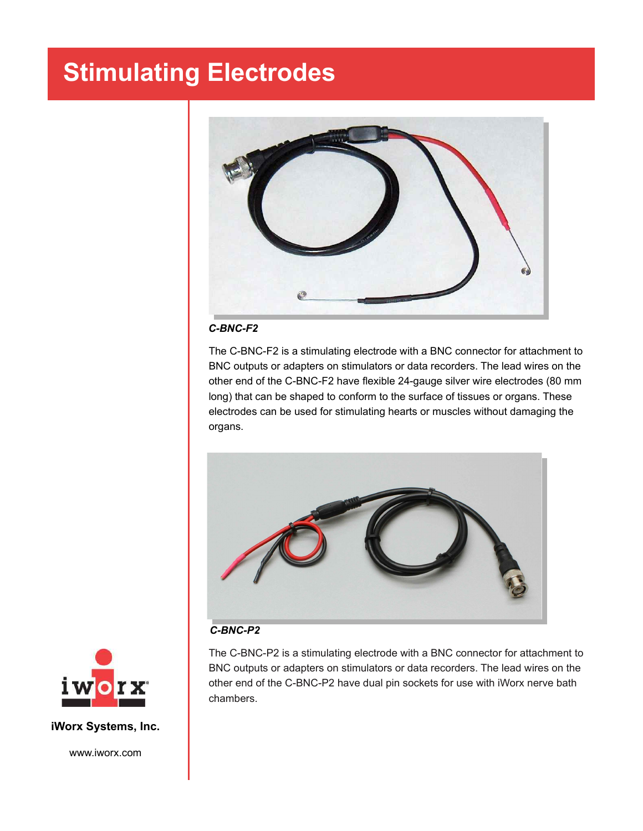

#### *C-BNC-F2*

The C-BNC-F2 is a stimulating electrode with a BNC connector for attachment to BNC outputs or adapters on stimulators or data recorders. The lead wires on the other end of the C-BNC-F2 have flexible 24-gauge silver wire electrodes (80 mm long) that can be shaped to conform to the surface of tissues or organs. These electrodes can be used for stimulating hearts or muscles without damaging the organs.



#### *C-BNC-P2*

The C-BNC-P2 is a stimulating electrode with a BNC connector for attachment to BNC outputs or adapters on stimulators or data recorders. The lead wires on the other end of the C-BNC-P2 have dual pin sockets for use with iWorx nerve bath chambers.



#### **iWorx Systems, Inc.**

www.iworx.com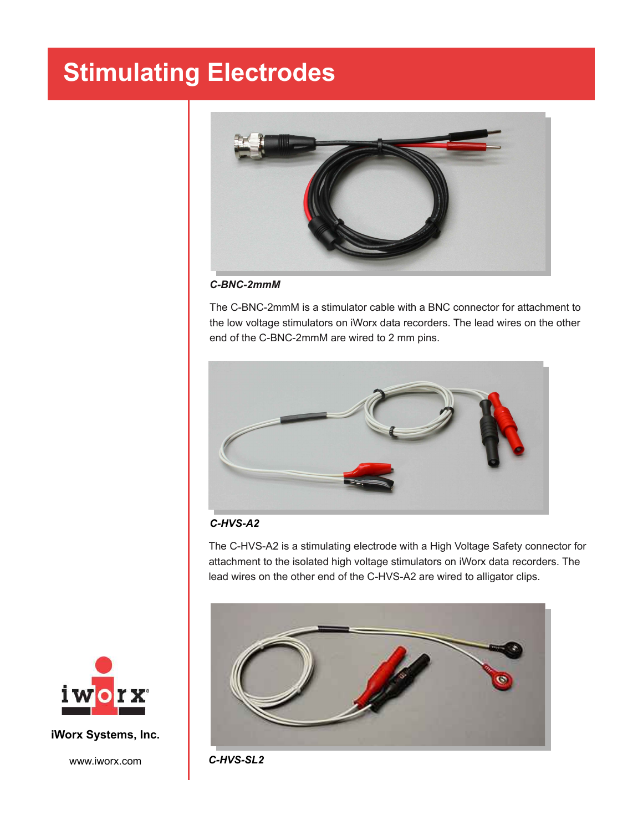

*C-BNC-2mmM*

The C-BNC-2mmM is a stimulator cable with a BNC connector for attachment to the low voltage stimulators on iWorx data recorders. The lead wires on the other end of the C-BNC-2mmM are wired to 2 mm pins.



#### *C-HVS-A2*

The C-HVS-A2 is a stimulating electrode with a High Voltage Safety connector for attachment to the isolated high voltage stimulators on iWorx data recorders. The lead wires on the other end of the C-HVS-A2 are wired to alligator clips.





**iWorx Systems, Inc.**

www.iworx.com